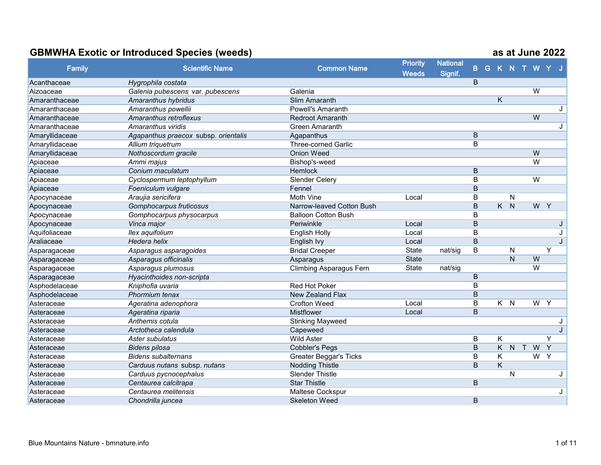|                |                                      |                                | <b>Priority</b> | <b>National</b> |                         |                         |                                |                |         |   |
|----------------|--------------------------------------|--------------------------------|-----------------|-----------------|-------------------------|-------------------------|--------------------------------|----------------|---------|---|
| Family         | <b>Scientific Name</b>               | <b>Common Name</b>             | <b>Weeds</b>    | Signif.         | B                       |                         | G K N T W Y J                  |                |         |   |
| Acanthaceae    | Hygrophila costata                   |                                |                 |                 | B                       |                         |                                |                |         |   |
| Aizoaceae      | Galenia pubescens var. pubescens     | Galenia                        |                 |                 |                         |                         |                                | $\overline{W}$ |         |   |
| Amaranthaceae  | Amaranthus hybridus                  | Slim Amaranth                  |                 |                 |                         | Κ                       |                                |                |         |   |
| Amaranthaceae  | Amaranthus powellii                  | <b>Powell's Amaranth</b>       |                 |                 |                         |                         |                                |                |         | J |
| Amaranthaceae  | Amaranthus retroflexus               | <b>Redroot Amaranth</b>        |                 |                 |                         |                         |                                | W              |         |   |
| Amaranthaceae  | Amaranthus viridis                   | <b>Green Amaranth</b>          |                 |                 |                         |                         |                                |                |         | J |
| Amaryllidaceae | Agapanthus praecox subsp. orientalis | Agapanthus                     |                 |                 | B                       |                         |                                |                |         |   |
| Amaryllidaceae | Allium triquetrum                    | <b>Three-corned Garlic</b>     |                 |                 | B                       |                         |                                |                |         |   |
| Amaryllidaceae | Nothoscordum gracile                 | <b>Onion Weed</b>              |                 |                 |                         |                         |                                | W              |         |   |
| Apiaceae       | Ammi majus                           | Bishop's-weed                  |                 |                 |                         |                         |                                | $\overline{W}$ |         |   |
| Apiaceae       | Conium maculatum                     | Hemlock                        |                 |                 | $\sf B$                 |                         |                                |                |         |   |
| Apiaceae       | Cyclospermum leptophyllum            | Slender Celery                 |                 |                 | $\overline{B}$          |                         |                                | $\overline{W}$ |         |   |
| Apiaceae       | Foeniculum vulgare                   | Fennel                         |                 |                 | $\overline{B}$          |                         |                                |                |         |   |
| Apocynaceae    | Araujia sericifera                   | Moth Vine                      | Local           |                 | B                       |                         | $\mathsf{N}$                   |                |         |   |
| Apocynaceae    | Gomphocarpus fruticosus              | Narrow-leaved Cotton Bush      |                 |                 | $\sf B$                 | $\overline{\mathsf{K}}$ | $\overline{N}$                 |                | W Y     |   |
| Apocynaceae    | Gomphocarpus physocarpus             | <b>Balloon Cotton Bush</b>     |                 |                 | $\overline{B}$          |                         |                                |                |         |   |
| Apocynaceae    | Vinca major                          | Periwinkle                     | Local           |                 | B                       |                         |                                |                |         |   |
| Aquifoliaceae  | Ilex aquifolium                      | <b>English Holly</b>           | Local           |                 | B                       |                         |                                |                |         |   |
| Araliaceae     | Hedera helix                         | English Ivy                    | Local           |                 | $\mathsf B$             |                         |                                |                |         |   |
| Asparagaceae   | Asparagus asparagoides               | <b>Bridal Creeper</b>          | <b>State</b>    | nat/sig         | B                       |                         | $\mathsf{N}$                   |                | Y       |   |
| Asparagaceae   | Asparagus officinalis                | Asparagus                      | <b>State</b>    |                 |                         |                         | $\overline{N}$                 | W              |         |   |
| Asparagaceae   | Asparagus plumosus                   | <b>Climbing Asparagus Fern</b> | <b>State</b>    | nat/sig         |                         |                         |                                | W              |         |   |
| Asparagaceae   | Hyacinthoides non-scripta            |                                |                 |                 | B                       |                         |                                |                |         |   |
| Asphodelaceae  | Kniphofia uvaria                     | <b>Red Hot Poker</b>           |                 |                 | B                       |                         |                                |                |         |   |
| Asphodelaceae  | Phormium tenax                       | New Zealand Flax               |                 |                 | $\sf B$                 |                         |                                |                |         |   |
| Asteraceae     | Ageratina adenophora                 | <b>Crofton Weed</b>            | Local           |                 | B                       | $K$ $N$                 |                                |                | $W$ $Y$ |   |
| Asteraceae     | Ageratina riparia                    | Mistflower                     | Local           |                 | $\overline{B}$          |                         |                                |                |         |   |
| Asteraceae     | Anthemis cotula                      | <b>Stinking Mayweed</b>        |                 |                 |                         |                         |                                |                |         | J |
| Asteraceae     | Arctotheca calendula                 | Capeweed                       |                 |                 |                         |                         |                                |                |         | J |
| Asteraceae     | Aster subulatus                      | <b>Wild Aster</b>              |                 |                 | B                       | K                       |                                |                | Y       |   |
| Asteraceae     | <b>Bidens pilosa</b>                 | <b>Cobbler's Pegs</b>          |                 |                 | $\overline{\mathsf{B}}$ | K.                      | $\overline{N}$<br>$\mathsf{T}$ | W              | Y       |   |
| Asteraceae     | <b>Bidens subalternans</b>           | Greater Beggar's Ticks         |                 |                 | B                       | K                       |                                |                | $W$ $Y$ |   |
| Asteraceae     | Carduus nutans subsp. nutans         | <b>Nodding Thistle</b>         |                 |                 | $\sf B$                 | K                       |                                |                |         |   |
| Asteraceae     | Carduus pycnocephalus                | <b>Slender Thistle</b>         |                 |                 |                         |                         | $\mathsf{N}$                   |                |         | J |
| Asteraceae     | Centaurea calcitrapa                 | <b>Star Thistle</b>            |                 |                 | B                       |                         |                                |                |         |   |
| Asteraceae     | Centaurea melitensis                 | Maltese Cockspur               |                 |                 |                         |                         |                                |                |         | J |
| Asteraceae     | Chondrilla juncea                    | <b>Skeleton Weed</b>           |                 |                 | $\sf B$                 |                         |                                |                |         |   |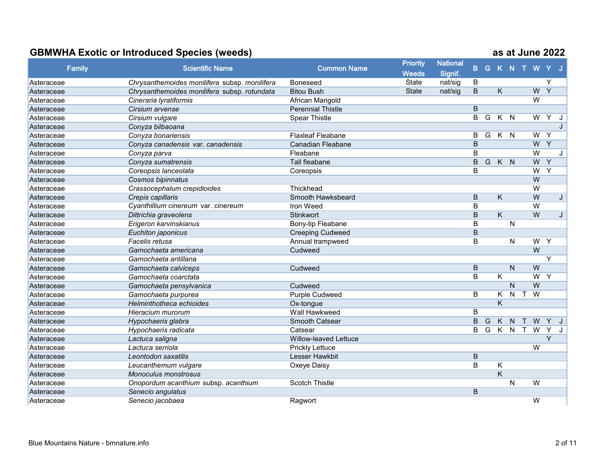| <b>Family</b> | <b>Scientific Name</b>                        | <b>Common Name</b>           | <b>Priority</b><br><b>Weeds</b> | <b>National</b>    | $\mathbf{B}$   |                |                         |                |              |                | G K N T W Y J  |     |
|---------------|-----------------------------------------------|------------------------------|---------------------------------|--------------------|----------------|----------------|-------------------------|----------------|--------------|----------------|----------------|-----|
| Asteraceae    | Chrysanthemoides monilifera subsp. monilifera | Boneseed                     | State                           | Signif.<br>nat/sig | B              |                |                         |                |              |                | Y              |     |
| Asteraceae    | Chrysanthemoides monilifera subsp. rotundata  | <b>Bitou Bush</b>            | <b>State</b>                    | nat/sig            | $\mathsf B$    |                | Κ                       |                |              | W              | $\overline{Y}$ |     |
| Asteraceae    | Cineraria lyratiformis                        | African Marigold             |                                 |                    |                |                |                         |                |              | $\overline{W}$ |                |     |
| Asteraceae    | Cirsium arvense                               | <b>Perennial Thistle</b>     |                                 |                    | $\overline{B}$ |                |                         |                |              |                |                |     |
| Asteraceae    | Cirsium vulgare                               | <b>Spear Thistle</b>         |                                 |                    | B              | $\overline{G}$ | $K$ $N$                 |                |              | $\overline{W}$ | Y              | J   |
| Asteraceae    | Conyza bilbaoana                              |                              |                                 |                    |                |                |                         |                |              |                |                |     |
| Asteraceae    | Conyza bonariensis                            | <b>Flaxleaf Fleabane</b>     |                                 |                    | B              | G              | $K$ $N$                 |                |              | W              | Y              |     |
| Asteraceae    | Conyza canadensis var. canadensis             | <b>Canadian Fleabane</b>     |                                 |                    | B              |                |                         |                |              | W              | $\overline{Y}$ |     |
| Asteraceae    | Conyza parva                                  | Fleabane                     |                                 |                    | B              |                |                         |                |              | $\overline{W}$ |                | J   |
| Asteraceae    | Conyza sumatrensis                            | Tall fleabane                |                                 |                    | $\overline{B}$ | G              | $K$ $N$                 |                |              | W              | Y              |     |
| Asteraceae    | Coreopsis lanceolata                          | Coreopsis                    |                                 |                    | B              |                |                         |                |              | $\overline{W}$ | $\overline{Y}$ |     |
| Asteraceae    | Cosmos bipinnatus                             |                              |                                 |                    |                |                |                         |                |              | W              |                |     |
| Asteraceae    | Crassocephalum crepidioides                   | Thickhead                    |                                 |                    |                |                |                         |                |              | $\overline{W}$ |                |     |
| Asteraceae    | Crepis capillaris                             | Smooth Hawksbeard            |                                 |                    | B              |                | Κ                       |                |              | W              |                | J   |
| Asteraceae    | Cyanthillium cinereum var. cinereum           | Iron Weed                    |                                 |                    | B              |                |                         |                |              | $\overline{W}$ |                |     |
| Asteraceae    | Dittrichia graveolens                         | Stinkwort                    |                                 |                    | $\overline{B}$ |                | $\overline{\mathsf{K}}$ |                |              | W              |                | J   |
| Asteraceae    | Erigeron karvinskianus                        | Bony-tip Fleabane            |                                 |                    | B              |                |                         | N              |              |                |                |     |
| Asteraceae    | Euchiton japonicus                            | <b>Creeping Cudweed</b>      |                                 |                    | B              |                |                         |                |              |                |                |     |
| Asteraceae    | Facelis retusa                                | Annual trampweed             |                                 |                    | B              |                |                         | N              |              | W              | Y              |     |
| Asteraceae    | Gamochaeta americana                          | Cudweed                      |                                 |                    |                |                |                         |                |              | W              |                |     |
| Asteraceae    | Gamochaeta antillana                          |                              |                                 |                    |                |                |                         |                |              |                | Y              |     |
| Asteraceae    | Gamochaeta calviceps                          | Cudweed                      |                                 |                    | B              |                |                         | N              |              | W              |                |     |
| Asteraceae    | Gamochaeta coarctata                          |                              |                                 |                    | B              |                | $\overline{\mathsf{K}}$ |                |              | $\overline{W}$ | Y              |     |
| Asteraceae    | Gamochaeta pensylvanica                       | Cudweed                      |                                 |                    |                |                |                         | $\mathsf{N}$   |              | W              |                |     |
| Asteraceae    | Gamochaeta purpurea                           | <b>Purple Cudweed</b>        |                                 |                    | B              |                | K.                      | $\mathsf{N}$   | $\mathsf{T}$ | $\overline{W}$ |                |     |
| Asteraceae    | Helminthotheca echioides                      | Ox-tongue                    |                                 |                    |                |                | $\overline{\mathsf{K}}$ |                |              |                |                |     |
| Asteraceae    | Hieracium murorum                             | Wall Hawkweed                |                                 |                    | $\overline{B}$ |                |                         |                |              |                |                |     |
| Asteraceae    | Hypochaeris glabra                            | Smooth Catsear               |                                 |                    | $\overline{B}$ | G              | K                       | N              | $\mathsf{T}$ | W              | $Y$ J          |     |
| Asteraceae    | Hypochaeris radicata                          | Catsear                      |                                 |                    | B              | G              | $\overline{K}$          | $\overline{N}$ | $\mathsf{T}$ | $\overline{W}$ | $\overline{Y}$ | . J |
| Asteraceae    | Lactuca saligna                               | <b>Willow-leaved Lettuce</b> |                                 |                    |                |                |                         |                |              |                | $\overline{Y}$ |     |
| Asteraceae    | Lactuca serriola                              | <b>Prickly Lettuce</b>       |                                 |                    |                |                |                         |                |              | $\overline{W}$ |                |     |
| Asteraceae    | Leontodon saxatilis                           | <b>Lesser Hawkbit</b>        |                                 |                    | B              |                |                         |                |              |                |                |     |
| Asteraceae    | Leucanthemum vulgare                          | Oxeye Daisy                  |                                 |                    | B              |                | Κ                       |                |              |                |                |     |
| Asteraceae    | <b>Monoculus monstrosus</b>                   |                              |                                 |                    |                |                | $\overline{\mathsf{K}}$ |                |              |                |                |     |
| Asteraceae    | Onopordum acanthium subsp. acanthium          | <b>Scotch Thistle</b>        |                                 |                    |                |                |                         | N              |              | $\overline{W}$ |                |     |
| Asteraceae    | Senecio angulatus                             |                              |                                 |                    | B              |                |                         |                |              |                |                |     |
| Asteraceae    | Senecio jacobaea                              | Ragwort                      |                                 |                    |                |                |                         |                |              | W              |                |     |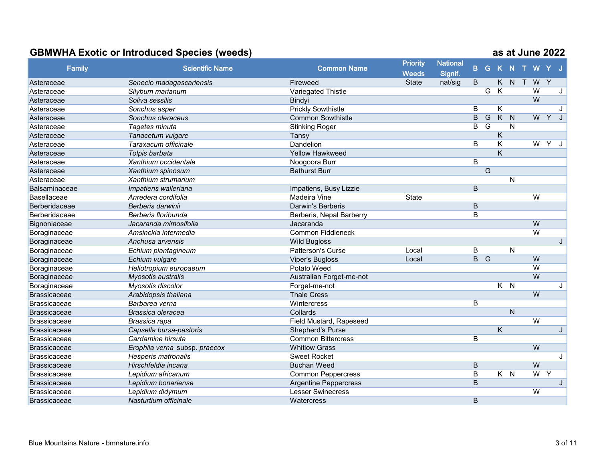|                     |                               |                                | <b>Priority</b> | <b>National</b> |                |                |                         |                         |        |                |                |              |
|---------------------|-------------------------------|--------------------------------|-----------------|-----------------|----------------|----------------|-------------------------|-------------------------|--------|----------------|----------------|--------------|
| <b>Family</b>       | <b>Scientific Name</b>        | <b>Common Name</b>             | <b>Weeds</b>    | Signif.         | B              |                | G K N                   |                         | $\top$ | W              |                |              |
| Asteraceae          | Senecio madagascariensis      | Fireweed                       | <b>State</b>    | nat/sig         | B              |                | K.                      | N                       | $\top$ | W              | $\mathsf{Y}$   |              |
| Asteraceae          | Silybum marianum              | Variegated Thistle             |                 |                 |                | G              | K                       |                         |        | $\overline{W}$ |                |              |
| Asteraceae          | Soliva sessilis               | Bindyi                         |                 |                 |                |                |                         |                         |        | $\overline{W}$ |                |              |
| Asteraceae          | Sonchus asper                 | <b>Prickly Sowthistle</b>      |                 |                 | B              |                | Κ                       |                         |        |                |                | J            |
| Asteraceae          | Sonchus oleraceus             | <b>Common Sowthistle</b>       |                 |                 | $\overline{B}$ | $\overline{G}$ | $\overline{K}$          | $\overline{\mathsf{N}}$ |        | W              | Y              | J            |
| Asteraceae          | Tagetes minuta                | <b>Stinking Roger</b>          |                 |                 | B              | $\overline{G}$ |                         | $\mathsf{N}$            |        |                |                |              |
| Asteraceae          | Tanacetum vulgare             | Tansy                          |                 |                 |                |                | $\overline{\mathsf{K}}$ |                         |        |                |                |              |
| Asteraceae          | Taraxacum officinale          | Dandelion                      |                 |                 | B              |                | $\overline{\mathsf{K}}$ |                         |        | $\overline{W}$ | $\overline{Y}$ |              |
| Asteraceae          | Tolpis barbata                | <b>Yellow Hawkweed</b>         |                 |                 |                |                | Κ                       |                         |        |                |                |              |
| Asteraceae          | Xanthium occidentale          | Noogoora Burr                  |                 |                 | B              |                |                         |                         |        |                |                |              |
| Asteraceae          | Xanthium spinosum             | <b>Bathurst Burr</b>           |                 |                 |                | G              |                         |                         |        |                |                |              |
| Asteraceae          | Xanthium strumarium           |                                |                 |                 |                |                |                         | $\mathsf{N}$            |        |                |                |              |
| Balsaminaceae       | Impatiens walleriana          | Impatiens, Busy Lizzie         |                 |                 | $\mathsf B$    |                |                         |                         |        |                |                |              |
| Basellaceae         | Anredera cordifolia           | <b>Madeira Vine</b>            | <b>State</b>    |                 |                |                |                         |                         |        | W              |                |              |
| Berberidaceae       | Berberis darwinii             | <b>Darwin's Berberis</b>       |                 |                 | $\overline{B}$ |                |                         |                         |        |                |                |              |
| Berberidaceae       | Berberis floribunda           | Berberis, Nepal Barberry       |                 |                 | $\overline{B}$ |                |                         |                         |        |                |                |              |
| Bignoniaceae        | Jacaranda mimosifolia         | Jacaranda                      |                 |                 |                |                |                         |                         |        | $\overline{W}$ |                |              |
| Boraginaceae        | Amsinckia intermedia          | <b>Common Fiddleneck</b>       |                 |                 |                |                |                         |                         |        | $\overline{W}$ |                |              |
| Boraginaceae        | Anchusa arvensis              | <b>Wild Bugloss</b>            |                 |                 |                |                |                         |                         |        |                |                | J            |
| Boraginaceae        | Echium plantagineum           | Patterson's Curse              | Local           |                 | B              |                |                         | N                       |        |                |                |              |
| Boraginaceae        | Echium vulgare                | <b>Viper's Bugloss</b>         | Local           |                 | $B$ $G$        |                |                         |                         |        | W              |                |              |
| Boraginaceae        | Heliotropium europaeum        | Potato Weed                    |                 |                 |                |                |                         |                         |        | $\overline{W}$ |                |              |
| Boraginaceae        | Myosotis australis            | Australian Forget-me-not       |                 |                 |                |                |                         |                         |        | W              |                |              |
| Boraginaceae        | Myosotis discolor             | Forget-me-not                  |                 |                 |                |                | $K$ $N$                 |                         |        |                |                | J            |
| <b>Brassicaceae</b> | Arabidopsis thaliana          | <b>Thale Cress</b>             |                 |                 |                |                |                         |                         |        | $\overline{W}$ |                |              |
| Brassicaceae        | Barbarea verna                | Wintercress                    |                 |                 | B              |                |                         |                         |        |                |                |              |
| <b>Brassicaceae</b> | Brassica oleracea             | Collards                       |                 |                 |                |                |                         | $\overline{N}$          |        |                |                |              |
| Brassicaceae        | Brassica rapa                 | <b>Field Mustard, Rapeseed</b> |                 |                 |                |                |                         |                         |        | $\overline{W}$ |                |              |
| Brassicaceae        | Capsella bursa-pastoris       | Shepherd's Purse               |                 |                 |                |                | $\overline{\mathsf{K}}$ |                         |        |                |                | J            |
| <b>Brassicaceae</b> | Cardamine hirsuta             | <b>Common Bittercress</b>      |                 |                 | B              |                |                         |                         |        |                |                |              |
| Brassicaceae        | Erophila verna subsp. praecox | <b>Whitlow Grass</b>           |                 |                 |                |                |                         |                         |        | W              |                |              |
| Brassicaceae        | Hesperis matronalis           | <b>Sweet Rocket</b>            |                 |                 |                |                |                         |                         |        |                |                | $\mathbf{J}$ |
| Brassicaceae        | Hirschfeldia incana           | <b>Buchan Weed</b>             |                 |                 | $\mathsf B$    |                |                         |                         |        | $\overline{W}$ |                |              |
| Brassicaceae        | Lepidium africanum            | <b>Common Peppercress</b>      |                 |                 | B              |                | $K$ $N$                 |                         |        | W              | Y              |              |
| Brassicaceae        | Lepidium bonariense           | <b>Argentine Peppercress</b>   |                 |                 | $\overline{B}$ |                |                         |                         |        |                |                |              |
| <b>Brassicaceae</b> | Lepidium didymum              | <b>Lesser Swinecress</b>       |                 |                 |                |                |                         |                         |        | W              |                |              |
| Brassicaceae        | Nasturtium officinale         | Watercress                     |                 |                 | B              |                |                         |                         |        |                |                |              |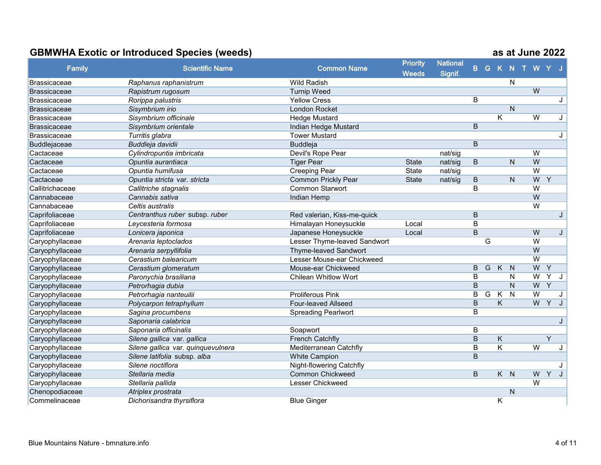|                     |                                    |                                 | <b>Priority</b> | <b>National</b> |                |   |                         |              |                |                |   |
|---------------------|------------------------------------|---------------------------------|-----------------|-----------------|----------------|---|-------------------------|--------------|----------------|----------------|---|
| <b>Family</b>       | <b>Scientific Name</b>             | <b>Common Name</b>              | <b>Weeds</b>    | Signif.         | B              |   | G K N                   |              | T W            |                |   |
| <b>Brassicaceae</b> | Raphanus raphanistrum              | <b>Wild Radish</b>              |                 |                 |                |   |                         | N            |                |                |   |
| Brassicaceae        | Rapistrum rugosum                  | <b>Turnip Weed</b>              |                 |                 |                |   |                         |              | W              |                |   |
| Brassicaceae        | Rorippa palustris                  | <b>Yellow Cress</b>             |                 |                 | B              |   |                         |              |                |                | J |
| Brassicaceae        | Sisymbrium irio                    | London Rocket                   |                 |                 |                |   |                         | N            |                |                |   |
| Brassicaceae        | Sisymbrium officinale              | <b>Hedge Mustard</b>            |                 |                 |                |   | $\overline{\mathsf{K}}$ |              | $\overline{W}$ |                | J |
| Brassicaceae        | Sisymbrium orientale               | Indian Hedge Mustard            |                 |                 | B              |   |                         |              |                |                |   |
| Brassicaceae        | Turritis glabra                    | <b>Tower Mustard</b>            |                 |                 |                |   |                         |              |                |                | J |
| Buddlejaceae        | Buddleja davidii                   | <b>Buddleja</b>                 |                 |                 | B              |   |                         |              |                |                |   |
| Cactaceae           | Cylindropuntia imbricata           | Devil's Rope Pear               |                 | nat/sig         |                |   |                         |              | W              |                |   |
| Cactaceae           | Opuntia aurantiaca                 | <b>Tiger Pear</b>               | <b>State</b>    | nat/sig         | B              |   |                         | N            | W              |                |   |
| Cactaceae           | Opuntia humifusa                   | <b>Creeping Pear</b>            | State           | nat/sig         |                |   |                         |              | $\overline{W}$ |                |   |
| Cactaceae           | Opuntia stricta var. stricta       | Common Prickly Pear             | <b>State</b>    | nat/sig         | B              |   |                         | N            | W              | Y              |   |
| Callitrichaceae     | Callitriche stagnalis              | <b>Common Starwort</b>          |                 |                 | $\overline{B}$ |   |                         |              | W              |                |   |
| Cannabaceae         | Cannabis sativa                    | Indian Hemp                     |                 |                 |                |   |                         |              | W              |                |   |
| Cannabaceae         | Celtis australis                   |                                 |                 |                 |                |   |                         |              | $\overline{W}$ |                |   |
| Caprifoliaceae      | Centranthus ruber subsp. ruber     | Red valerian, Kiss-me-quick     |                 |                 | B              |   |                         |              |                |                | J |
| Caprifoliaceae      | Leycesteria formosa                | Himalayan Honeysuckle           | Local           |                 | B              |   |                         |              |                |                |   |
| Caprifoliaceae      | Lonicera japonica                  | Japanese Honeysuckle            | Local           |                 | B              |   |                         |              | W              |                | J |
| Caryophyllaceae     | Arenaria leptoclados               | Lesser Thyme-leaved Sandwort    |                 |                 |                | G |                         |              | $\overline{W}$ |                |   |
| Caryophyllaceae     | Arenaria serpyllifolia             | Thyme-leaved Sandwort           |                 |                 |                |   |                         |              | W              |                |   |
| Caryophyllaceae     | Cerastium balearicum               | Lesser Mouse-ear Chickweed      |                 |                 |                |   |                         |              | $\overline{W}$ |                |   |
| Caryophyllaceae     | Cerastium glomeratum               | Mouse-ear Chickweed             |                 |                 | B              | G | K                       | N            | W              | Y              |   |
| Caryophyllaceae     | Paronychia brasiliana              | <b>Chilean Whitlow Wort</b>     |                 |                 | B              |   |                         | N            | W              | $\overline{Y}$ | J |
| Caryophyllaceae     | Petrorhagia dubia                  |                                 |                 |                 | $\overline{B}$ |   |                         | $\mathsf{N}$ | W              | $\overline{Y}$ |   |
| Caryophyllaceae     | Petrorhagia nanteuilii             | <b>Proliferous Pink</b>         |                 |                 | B              | G | Κ                       | $\mathsf{N}$ | $\overline{W}$ |                |   |
| Caryophyllaceae     | Polycarpon tetraphyllum            | Four-leaved Allseed             |                 |                 | B              |   | K                       |              | W              | $\overline{Y}$ |   |
| Caryophyllaceae     | Sagina procumbens                  | <b>Spreading Pearlwort</b>      |                 |                 | B              |   |                         |              |                |                |   |
| Caryophyllaceae     | Saponaria calabrica                |                                 |                 |                 |                |   |                         |              |                |                |   |
| Caryophyllaceae     | Saponaria officinalis              | Soapwort                        |                 |                 | B              |   |                         |              |                |                |   |
| Caryophyllaceae     | Silene gallica var. gallica        | <b>French Catchfly</b>          |                 |                 | B              |   | K                       |              |                | Y              |   |
| Caryophyllaceae     | Silene gallica var. quinquevulnera | Mediterranean Catchfly          |                 |                 | B              |   | $\overline{\mathsf{K}}$ |              | $\overline{W}$ |                | J |
| Caryophyllaceae     | Silene latifolia subsp. alba       | <b>White Campion</b>            |                 |                 | B              |   |                         |              |                |                |   |
| Caryophyllaceae     | Silene noctiflora                  | <b>Night-flowering Catchfly</b> |                 |                 |                |   |                         |              |                |                |   |
| Caryophyllaceae     | Stellaria media                    | <b>Common Chickweed</b>         |                 |                 | B              |   | $K$ $N$                 |              | W              | Y              |   |
| Caryophyllaceae     | Stellaria pallida                  | <b>Lesser Chickweed</b>         |                 |                 |                |   |                         |              | W              |                |   |
| Chenopodiaceae      | Atriplex prostrata                 |                                 |                 |                 |                |   |                         | N            |                |                |   |
| Commelinaceae       | Dichorisandra thyrsiflora          | <b>Blue Ginger</b>              |                 |                 |                |   | Κ                       |              |                |                |   |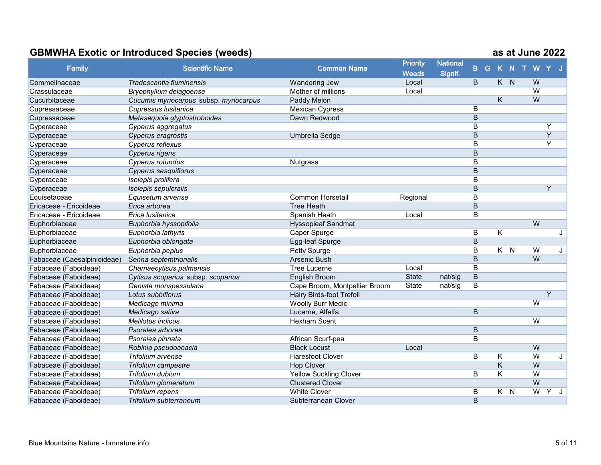|                             |                                        |                               | <b>Priority</b> | <b>National</b> |                |         |   |                |                |
|-----------------------------|----------------------------------------|-------------------------------|-----------------|-----------------|----------------|---------|---|----------------|----------------|
| <b>Family</b>               | <b>Scientific Name</b>                 | <b>Common Name</b>            | <b>Weeds</b>    | Signif.         | B              |         |   |                | G K N T W Y J  |
| Commelinaceae               | Tradescantia fluminensis               | Wandering Jew                 | Local           |                 | B              | K N     |   | W              |                |
| Crassulaceae                | Bryophyllum delagoense                 | Mother of millions            | Local           |                 |                |         |   | $\overline{W}$ |                |
| Cucurbitaceae               | Cucumis myriocarpus subsp. myriocarpus | Paddy Melon                   |                 |                 |                | K       |   | W              |                |
| Cupressaceae                | Cupressus Iusitanica                   | <b>Mexican Cypress</b>        |                 |                 | B              |         |   |                |                |
| Cupressaceae                | Metasequoia glyptostroboides           | Dawn Redwood                  |                 |                 | $\overline{B}$ |         |   |                |                |
| Cyperaceae                  | Cyperus aggregatus                     |                               |                 |                 | B              |         |   |                | Υ              |
| Cyperaceae                  | Cyperus eragrostis                     | Umbrella Sedge                |                 |                 | $\overline{B}$ |         |   |                | $\overline{Y}$ |
| Cyperaceae                  | Cyperus reflexus                       |                               |                 |                 | B              |         |   |                | Y              |
| Cyperaceae                  | Cyperus rigens                         |                               |                 |                 | $\mathsf B$    |         |   |                |                |
| Cyperaceae                  | Cyperus rotundus                       | <b>Nutgrass</b>               |                 |                 | B              |         |   |                |                |
| Cyperaceae                  | <b>Cyperus sesquiflorus</b>            |                               |                 |                 | $\overline{B}$ |         |   |                |                |
| Cyperaceae                  | Isolepis prolifera                     |                               |                 |                 | B              |         |   |                |                |
| Cyperaceae                  | Isolepis sepulcralis                   |                               |                 |                 | $\overline{B}$ |         |   |                | $\overline{Y}$ |
| Equisetaceae                | Equisetum arvense                      | <b>Common Horsetail</b>       | Regional        |                 | B              |         |   |                |                |
| Ericaceae - Ericoideae      | Erica arborea                          | <b>Tree Heath</b>             |                 |                 | B              |         |   |                |                |
| Ericaceae - Ericoideae      | Erica lusitanica                       | Spanish Heath                 | Local           |                 | $\overline{B}$ |         |   |                |                |
| Euphorbiaceae               | Euphorbia hyssopifolia                 | <b>Hyssopleaf Sandmat</b>     |                 |                 |                |         |   | $\overline{W}$ |                |
| Euphorbiaceae               | Euphorbia lathyris                     | Caper Spurge                  |                 |                 | B              | K       |   |                | J              |
| Euphorbiaceae               | Euphorbia oblongata                    | Egg-leaf Spurge               |                 |                 | B              |         |   |                |                |
| Euphorbiaceae               | Euphorbia peplus                       | Petty Spurge                  |                 |                 | B              | $K$ $N$ |   | W              | J              |
| Fabaceae (Caesalpinioideae) | Senna septemtrionalis                  | Arsenic Bush                  |                 |                 | B              |         |   | W              |                |
| Fabaceae (Faboideae)        | Chamaecytisus palmensis                | <b>Tree Lucerne</b>           | Local           |                 | B              |         |   |                |                |
| Fabaceae (Faboideae)        | Cytisus scoparius subsp. scoparius     | English Broom                 | <b>State</b>    | nat/sig         | $\overline{B}$ |         |   |                |                |
| Fabaceae (Faboideae)        | Genista monspessulana                  | Cape Broom, Montpellier Broom | <b>State</b>    | nat/sig         | $\overline{B}$ |         |   |                |                |
| Fabaceae (Faboideae)        | Lotus subbiflorus                      | Hairy Birds-foot Trefoil      |                 |                 |                |         |   |                | Y              |
| Fabaceae (Faboideae)        | Medicago minima                        | <b>Woolly Burr Medic</b>      |                 |                 |                |         |   | W              |                |
| Fabaceae (Faboideae)        | Medicago sativa                        | Lucerne, Alfalfa              |                 |                 | $\overline{B}$ |         |   |                |                |
| Fabaceae (Faboideae)        | Melilotus indicus                      | Hexham Scent                  |                 |                 |                |         |   | $\overline{W}$ |                |
| Fabaceae (Faboideae)        | Psoralea arborea                       |                               |                 |                 | B              |         |   |                |                |
| Fabaceae (Faboideae)        | Psoralea pinnata                       | African Scurf-pea             |                 |                 | B              |         |   |                |                |
| Fabaceae (Faboideae)        | Robinia pseudoacacia                   | <b>Black Locust</b>           | Local           |                 |                |         |   | W              |                |
| Fabaceae (Faboideae)        | Trifolium arvense                      | <b>Haresfoot Clover</b>       |                 |                 | B              | Κ       |   | $\overline{W}$ | J              |
| Fabaceae (Faboideae)        | Trifolium campestre                    | <b>Hop Clover</b>             |                 |                 |                | Κ       |   | W              |                |
| Fabaceae (Faboideae)        | Trifolium dubium                       | <b>Yellow Suckling Clover</b> |                 |                 | B              | Κ       |   | $\overline{W}$ |                |
| Fabaceae (Faboideae)        | Trifolium glomeratum                   | <b>Clustered Clover</b>       |                 |                 |                |         |   | $\overline{W}$ |                |
| Fabaceae (Faboideae)        | Trifolium repens                       | <b>White Clover</b>           |                 |                 | B              | K.      | N | $\overline{W}$ | Y              |
| Fabaceae (Faboideae)        | Trifolium subterraneum                 | Subterranean Clover           |                 |                 | B              |         |   |                |                |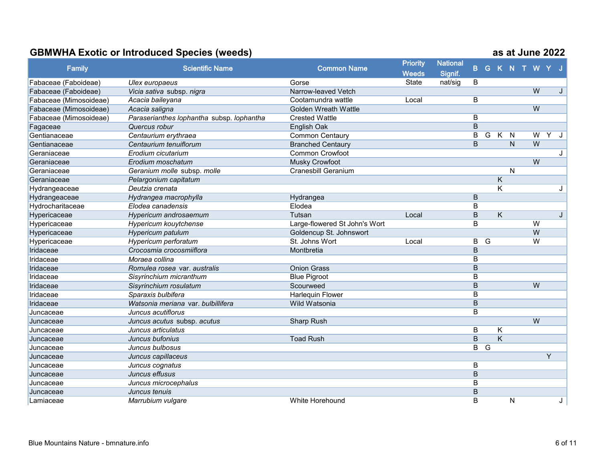|                        |                                           |                               | <b>Priority</b> | <b>National</b> |                |                |                         |   |               |                |   |   |
|------------------------|-------------------------------------------|-------------------------------|-----------------|-----------------|----------------|----------------|-------------------------|---|---------------|----------------|---|---|
| <b>Family</b>          | <b>Scientific Name</b>                    | <b>Common Name</b>            | <b>Weeds</b>    | Signif.         | B.             |                |                         |   | G K N T W Y J |                |   |   |
| Fabaceae (Faboideae)   | Ulex europaeus                            | Gorse                         | State           | nat/sig         | B              |                |                         |   |               |                |   |   |
| Fabaceae (Faboideae)   | Vicia sativa subsp. nigra                 | Narrow-leaved Vetch           |                 |                 |                |                |                         |   |               | W              |   | J |
| Fabaceae (Mimosoideae) | Acacia baileyana                          | Cootamundra wattle            | Local           |                 | B              |                |                         |   |               |                |   |   |
| Fabaceae (Mimosoideae) | Acacia saligna                            | <b>Golden Wreath Wattle</b>   |                 |                 |                |                |                         |   |               | $\overline{W}$ |   |   |
| Fabaceae (Mimosoideae) | Paraserianthes lophantha subsp. lophantha | <b>Crested Wattle</b>         |                 |                 | $\overline{B}$ |                |                         |   |               |                |   |   |
| Fagaceae               | Quercus robur                             | English Oak                   |                 |                 | B              |                |                         |   |               |                |   |   |
| Gentianaceae           | Centaurium erythraea                      | <b>Common Centaury</b>        |                 |                 | B              | G              | $\overline{K}$          | N |               | $\overline{W}$ | Y | J |
| Gentianaceae           | Centaurium tenuiflorum                    | <b>Branched Centaury</b>      |                 |                 | B              |                |                         | N |               | W              |   |   |
| Geraniaceae            | Erodium cicutarium                        | <b>Common Crowfoot</b>        |                 |                 |                |                |                         |   |               |                |   | J |
| Geraniaceae            | Erodium moschatum                         | Musky Crowfoot                |                 |                 |                |                |                         |   |               | W              |   |   |
| Geraniaceae            | Geranium molle subsp. molle               | <b>Cranesbill Geranium</b>    |                 |                 |                |                |                         | N |               |                |   |   |
| Geraniaceae            | Pelargonium capitatum                     |                               |                 |                 |                |                | $\overline{\mathsf{K}}$ |   |               |                |   |   |
| Hydrangeaceae          | Deutzia crenata                           |                               |                 |                 |                |                | $\overline{\mathsf{K}}$ |   |               |                |   | J |
| Hydrangeaceae          | Hydrangea macrophylla                     | Hydrangea                     |                 |                 | B              |                |                         |   |               |                |   |   |
| Hydrocharitaceae       | Elodea canadensis                         | Elodea                        |                 |                 | B              |                |                         |   |               |                |   |   |
| Hypericaceae           | Hypericum androsaemum                     | Tutsan                        | Local           |                 | $\overline{B}$ |                | $\overline{\mathsf{K}}$ |   |               |                |   | J |
| Hypericaceae           | Hypericum kouytchense                     | Large-flowered St John's Wort |                 |                 | B              |                |                         |   |               | W              |   |   |
| Hypericaceae           | Hypericum patulum                         | Goldencup St. Johnswort       |                 |                 |                |                |                         |   |               | W              |   |   |
| Hypericaceae           | Hypericum perforatum                      | St. Johns Wort                | Local           |                 | $\overline{B}$ | $\overline{G}$ |                         |   |               | $\overline{W}$ |   |   |
| Iridaceae              | Crocosmia crocosmiiflora                  | Montbretia                    |                 |                 | B              |                |                         |   |               |                |   |   |
| Iridaceae              | Moraea collina                            |                               |                 |                 | B              |                |                         |   |               |                |   |   |
| Iridaceae              | Romulea rosea var. australis              | <b>Onion Grass</b>            |                 |                 | B              |                |                         |   |               |                |   |   |
| Iridaceae              | Sisyrinchium micranthum                   | <b>Blue Pigroot</b>           |                 |                 | B              |                |                         |   |               |                |   |   |
| Iridaceae              | Sisyrinchium rosulatum                    | Scourweed                     |                 |                 | $\overline{B}$ |                |                         |   |               | $\overline{W}$ |   |   |
| Iridaceae              | Sparaxis bulbifera                        | <b>Harlequin Flower</b>       |                 |                 | B              |                |                         |   |               |                |   |   |
| Iridaceae              | Watsonia meriana var. bulbillifera        | Wild Watsonia                 |                 |                 | B              |                |                         |   |               |                |   |   |
| Juncaceae              | Juncus acutiflorus                        |                               |                 |                 | $\overline{B}$ |                |                         |   |               |                |   |   |
| Juncaceae              | Juncus acutus subsp. acutus               | Sharp Rush                    |                 |                 |                |                |                         |   |               | $\overline{W}$ |   |   |
| Juncaceae              | Juncus articulatus                        |                               |                 |                 | B              |                | K                       |   |               |                |   |   |
| Juncaceae              | Juncus bufonius                           | <b>Toad Rush</b>              |                 |                 | B              |                | K                       |   |               |                |   |   |
| Juncaceae              | Juncus bulbosus                           |                               |                 |                 | B              | $\overline{G}$ |                         |   |               |                |   |   |
| Juncaceae              | Juncus capillaceus                        |                               |                 |                 |                |                |                         |   |               |                | Y |   |
| Juncaceae              | Juncus cognatus                           |                               |                 |                 | B              |                |                         |   |               |                |   |   |
| Juncaceae              | Juncus effusus                            |                               |                 |                 | $\overline{B}$ |                |                         |   |               |                |   |   |
| Juncaceae              | Juncus microcephalus                      |                               |                 |                 | B              |                |                         |   |               |                |   |   |
| Juncaceae              | Juncus tenuis                             |                               |                 |                 | B              |                |                         |   |               |                |   |   |
| Lamiaceae              | Marrubium vulgare                         | White Horehound               |                 |                 | B              |                |                         | N |               |                |   | J |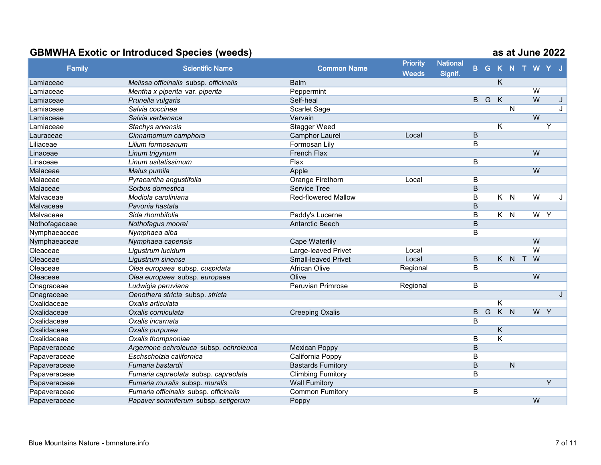|               |                                        |                            | <b>Priority</b> | <b>National</b> |                         |                |                         |                            |                    |                |   |              |
|---------------|----------------------------------------|----------------------------|-----------------|-----------------|-------------------------|----------------|-------------------------|----------------------------|--------------------|----------------|---|--------------|
| <b>Family</b> | <b>Scientific Name</b>                 | <b>Common Name</b>         | <b>Weeds</b>    | Signif.         |                         |                |                         |                            | <b>B G K N T W</b> |                |   |              |
| Lamiaceae     | Melissa officinalis subsp. officinalis | <b>Balm</b>                |                 |                 |                         |                | K                       |                            |                    |                |   |              |
| Lamiaceae     | Mentha x piperita var. piperita        | Peppermint                 |                 |                 |                         |                |                         |                            |                    | W              |   |              |
| Lamiaceae     | Prunella vulgaris                      | Self-heal                  |                 |                 | $\overline{B}$          | $\overline{G}$ | $\overline{\mathsf{K}}$ |                            |                    | $\overline{W}$ |   | J            |
| Lamiaceae     | Salvia coccinea                        | Scarlet Sage               |                 |                 |                         |                |                         | $\overline{\mathsf{N}}$    |                    |                |   | J            |
| Lamiaceae     | Salvia verbenaca                       | Vervain                    |                 |                 |                         |                |                         |                            |                    | $\overline{W}$ |   |              |
| Lamiaceae     | Stachys arvensis                       | <b>Stagger Weed</b>        |                 |                 |                         |                | Κ                       |                            |                    |                | Y |              |
| Lauraceae     | Cinnamomum camphora                    | <b>Camphor Laurel</b>      | Local           |                 | $\overline{B}$          |                |                         |                            |                    |                |   |              |
| Liliaceae     | Lilium formosanum                      | Formosan Lily              |                 |                 | B                       |                |                         |                            |                    |                |   |              |
| Linaceae      | Linum trigynum                         | French Flax                |                 |                 |                         |                |                         |                            |                    | W              |   |              |
| Linaceae      | Linum usitatissimum                    | Flax                       |                 |                 | B                       |                |                         |                            |                    |                |   |              |
| Malaceae      | Malus pumila                           | Apple                      |                 |                 |                         |                |                         |                            |                    | W              |   |              |
| Malaceae      | Pyracantha angustifolia                | Orange Firethorn           | Local           |                 | B                       |                |                         |                            |                    |                |   |              |
| Malaceae      | Sorbus domestica                       | <b>Service Tree</b>        |                 |                 | $\overline{B}$          |                |                         |                            |                    |                |   |              |
| Malvaceae     | Modiola caroliniana                    | <b>Red-flowered Mallow</b> |                 |                 | B                       |                | K.                      | N                          |                    | W              |   | J            |
| Malvaceae     | Pavonia hastata                        |                            |                 |                 | $\overline{B}$          |                |                         |                            |                    |                |   |              |
| Malvaceae     | Sida rhombifolia                       | Paddy's Lucerne            |                 |                 | $\overline{B}$          |                | $K$ $N$                 |                            |                    | $W$ $Y$        |   |              |
| Nothofagaceae | Nothofagus moorei                      | <b>Antarctic Beech</b>     |                 |                 | B                       |                |                         |                            |                    |                |   |              |
| Nymphaeaceae  | Nymphaea alba                          |                            |                 |                 | B                       |                |                         |                            |                    |                |   |              |
| Nymphaeaceae  | Nymphaea capensis                      | <b>Cape Waterlily</b>      |                 |                 |                         |                |                         |                            |                    | W              |   |              |
| Oleaceae      | Ligustrum lucidum                      | Large-leaved Privet        | Local           |                 |                         |                |                         |                            |                    | $\overline{W}$ |   |              |
| Oleaceae      | Ligustrum sinense                      | <b>Small-leaved Privet</b> | Local           |                 | B                       |                |                         | K N T                      |                    | W              |   |              |
| Oleaceae      | Olea europaea subsp. cuspidata         | <b>African Olive</b>       | Regional        |                 | B                       |                |                         |                            |                    |                |   |              |
| Oleaceae      | Olea europaea subsp. europaea          | Olive                      |                 |                 |                         |                |                         |                            |                    | W              |   |              |
| Onagraceae    | Ludwigia peruviana                     | <b>Peruvian Primrose</b>   | Regional        |                 | $\overline{B}$          |                |                         |                            |                    |                |   |              |
| Onagraceae    | Oenothera stricta subsp. stricta       |                            |                 |                 |                         |                |                         |                            |                    |                |   | $\mathbf{J}$ |
| Oxalidaceae   | Oxalis articulata                      |                            |                 |                 |                         |                | Κ                       |                            |                    |                |   |              |
| Oxalidaceae   | Oxalis corniculata                     | <b>Creeping Oxalis</b>     |                 |                 | $\overline{B}$          | $\overline{G}$ | $\overline{K}$          | $\overline{\phantom{a}}$ N |                    | W Y            |   |              |
| Oxalidaceae   | Oxalis incarnata                       |                            |                 |                 | B                       |                |                         |                            |                    |                |   |              |
| Oxalidaceae   | Oxalis purpurea                        |                            |                 |                 |                         |                | Κ                       |                            |                    |                |   |              |
| Oxalidaceae   | Oxalis thompsoniae                     |                            |                 |                 | B                       |                | Κ                       |                            |                    |                |   |              |
| Papaveraceae  | Argemone ochroleuca subsp. ochroleuca  | <b>Mexican Poppy</b>       |                 |                 | B                       |                |                         |                            |                    |                |   |              |
| Papaveraceae  | Eschscholzia californica               | California Poppy           |                 |                 | B                       |                |                         |                            |                    |                |   |              |
| Papaveraceae  | Fumaria bastardii                      | <b>Bastards Fumitory</b>   |                 |                 | $\overline{\mathsf{B}}$ |                |                         | ${\sf N}$                  |                    |                |   |              |
| Papaveraceae  | Fumaria capreolata subsp. capreolata   | <b>Climbing Fumitory</b>   |                 |                 | B                       |                |                         |                            |                    |                |   |              |
| Papaveraceae  | Fumaria muralis subsp. muralis         | <b>Wall Fumitory</b>       |                 |                 |                         |                |                         |                            |                    |                | Y |              |
| Papaveraceae  | Fumaria officinalis subsp. officinalis | <b>Common Fumitory</b>     |                 |                 | B                       |                |                         |                            |                    |                |   |              |
| Papaveraceae  | Papaver somniferum subsp. setigerum    | Poppy                      |                 |                 |                         |                |                         |                            |                    | W              |   |              |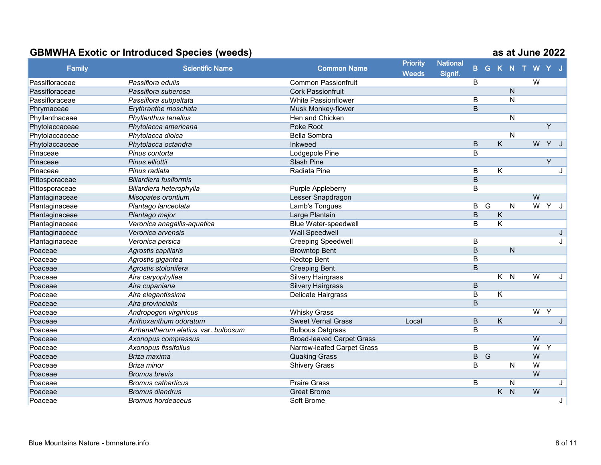|                |                                     |                                  | <b>Priority</b> | <b>National</b> |                |                |                         |                |               |                |                |              |
|----------------|-------------------------------------|----------------------------------|-----------------|-----------------|----------------|----------------|-------------------------|----------------|---------------|----------------|----------------|--------------|
| <b>Family</b>  | <b>Scientific Name</b>              | <b>Common Name</b>               | <b>Weeds</b>    | Signif.         | B.             |                |                         |                | G K N T W Y J |                |                |              |
| Passifloraceae | Passiflora edulis                   | <b>Common Passionfruit</b>       |                 |                 | B              |                |                         |                |               | W              |                |              |
| Passifloraceae | Passiflora suberosa                 | <b>Cork Passionfruit</b>         |                 |                 |                |                |                         | $\mathsf{N}$   |               |                |                |              |
| Passifloraceae | Passiflora subpeltata               | <b>White Passionflower</b>       |                 |                 | B              |                |                         | N              |               |                |                |              |
| Phrymaceae     | Erythranthe moschata                | Musk Monkey-flower               |                 |                 | $\overline{B}$ |                |                         |                |               |                |                |              |
| Phyllanthaceae | Phyllanthus tenellus                | Hen and Chicken                  |                 |                 |                |                |                         | N              |               |                |                |              |
| Phytolaccaceae | Phytolacca americana                | <b>Poke Root</b>                 |                 |                 |                |                |                         |                |               |                | $\overline{Y}$ |              |
| Phytolaccaceae | Phytolacca dioica                   | <b>Bella Sombra</b>              |                 |                 |                |                |                         | N              |               |                |                |              |
| Phytolaccaceae | Phytolacca octandra                 | Inkweed                          |                 |                 | B              |                | $\overline{\mathsf{K}}$ |                |               | W              | YJ             |              |
| Pinaceae       | Pinus contorta                      | Lodgepole Pine                   |                 |                 | B              |                |                         |                |               |                |                |              |
| Pinaceae       | Pinus elliottii                     | Slash Pine                       |                 |                 |                |                |                         |                |               |                | $\overline{Y}$ |              |
| Pinaceae       | Pinus radiata                       | Radiata Pine                     |                 |                 | $\overline{B}$ |                | $\overline{\mathsf{K}}$ |                |               |                |                | J.           |
| Pittosporaceae | <b>Billardiera fusiformis</b>       |                                  |                 |                 | $\overline{B}$ |                |                         |                |               |                |                |              |
| Pittosporaceae | Billardiera heterophylla            | Purple Appleberry                |                 |                 | B              |                |                         |                |               |                |                |              |
| Plantaginaceae | Misopates orontium                  | Lesser Snapdragon                |                 |                 |                |                |                         |                |               | W              |                |              |
| Plantaginaceae | Plantago lanceolata                 | Lamb's Tongues                   |                 |                 | $\overline{B}$ | $\overline{G}$ |                         | N              |               | $\overline{W}$ | Y              | J            |
| Plantaginaceae | Plantago major                      | Large Plantain                   |                 |                 | $\overline{B}$ |                | $\overline{\mathsf{K}}$ |                |               |                |                |              |
| Plantaginaceae | Veronica anagallis-aquatica         | Blue Water-speedwell             |                 |                 | B              |                | Κ                       |                |               |                |                |              |
| Plantaginaceae | Veronica arvensis                   | Wall Speedwell                   |                 |                 |                |                |                         |                |               |                |                | J            |
| Plantaginaceae | Veronica persica                    | <b>Creeping Speedwell</b>        |                 |                 | B              |                |                         |                |               |                |                | J            |
| Poaceae        | Agrostis capillaris                 | <b>Browntop Bent</b>             |                 |                 | $\overline{B}$ |                |                         | $\overline{N}$ |               |                |                |              |
| Poaceae        | Agrostis gigantea                   | <b>Redtop Bent</b>               |                 |                 | B              |                |                         |                |               |                |                |              |
| Poaceae        | Agrostis stolonifera                | <b>Creeping Bent</b>             |                 |                 | B              |                |                         |                |               |                |                |              |
| Poaceae        | Aira caryophyllea                   | <b>Silvery Hairgrass</b>         |                 |                 |                |                | $K$ $N$                 |                |               | $\overline{W}$ |                | J            |
| Poaceae        | Aira cupaniana                      | <b>Silvery Hairgrass</b>         |                 |                 | B              |                |                         |                |               |                |                |              |
| Poaceae        | Aira elegantissima                  | <b>Delicate Hairgrass</b>        |                 |                 | B              |                | Κ                       |                |               |                |                |              |
| Poaceae        | Aira provincialis                   |                                  |                 |                 | $\overline{B}$ |                |                         |                |               |                |                |              |
| Poaceae        | Andropogon virginicus               | <b>Whisky Grass</b>              |                 |                 |                |                |                         |                |               | $\overline{W}$ | Y              |              |
| Poaceae        | Anthoxanthum odoratum               | <b>Sweet Vernal Grass</b>        | Local           |                 | $\overline{B}$ |                | $\overline{\mathsf{K}}$ |                |               |                |                | $\mathbf{J}$ |
| Poaceae        | Arrhenatherum elatius var. bulbosum | <b>Bulbous Oatgrass</b>          |                 |                 | B              |                |                         |                |               |                |                |              |
| Poaceae        | Axonopus compressus                 | <b>Broad-leaved Carpet Grass</b> |                 |                 |                |                |                         |                |               | W              |                |              |
| Poaceae        | Axonopus fissifolius                | Narrow-leafed Carpet Grass       |                 |                 | B              |                |                         |                |               | $\overline{W}$ | Y              |              |
| Poaceae        | Briza maxima                        | <b>Quaking Grass</b>             |                 |                 | $\overline{B}$ | G              |                         |                |               | W              |                |              |
| Poaceae        | Briza minor                         | <b>Shivery Grass</b>             |                 |                 | B              |                |                         | N              |               | W              |                |              |
| Poaceae        | <b>Bromus brevis</b>                |                                  |                 |                 |                |                |                         |                |               | W              |                |              |
| Poaceae        | <b>Bromus catharticus</b>           | <b>Praire Grass</b>              |                 |                 | B              |                |                         | Ν              |               |                |                | J            |
| Poaceae        | <b>Bromus diandrus</b>              | <b>Great Brome</b>               |                 |                 |                |                | K.                      | $\mathsf{N}$   |               | W              |                |              |
| Poaceae        | <b>Bromus hordeaceus</b>            | Soft Brome                       |                 |                 |                |                |                         |                |               |                |                | J            |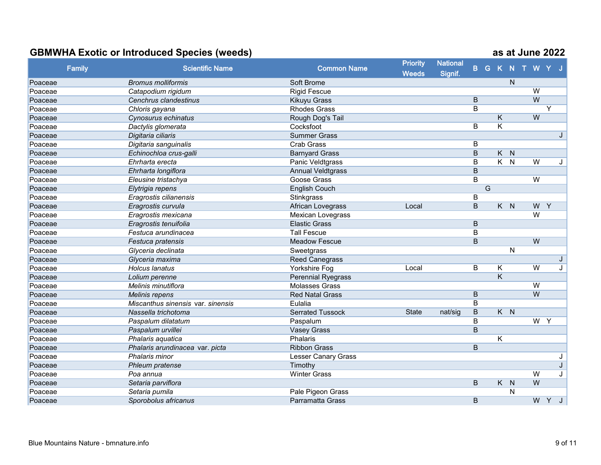| <b>Family</b> | <b>Scientific Name</b>            | <b>Common Name</b>        | <b>Priority</b> | <b>National</b> | $\mathbf{B}$   |                |                         |                | G K N T W Y J  |                |   |
|---------------|-----------------------------------|---------------------------|-----------------|-----------------|----------------|----------------|-------------------------|----------------|----------------|----------------|---|
|               |                                   |                           | <b>Weeds</b>    | Signif.         |                |                |                         |                |                |                |   |
| Poaceae       | <b>Bromus molliformis</b>         | Soft Brome                |                 |                 |                |                |                         | $\mathsf{N}$   |                |                |   |
| Poaceae       | Catapodium rigidum                | <b>Rigid Fescue</b>       |                 |                 |                |                |                         |                | $\overline{W}$ |                |   |
| Poaceae       | Cenchrus clandestinus             | Kikuyu Grass              |                 |                 | $\overline{B}$ |                |                         |                | $\overline{W}$ |                |   |
| Poaceae       | Chloris gayana                    | <b>Rhodes Grass</b>       |                 |                 | B              |                |                         |                |                | Y              |   |
| Poaceae       | Cynosurus echinatus               | Rough Dog's Tail          |                 |                 |                |                | $\overline{\mathsf{K}}$ |                | W              |                |   |
| Poaceae       | Dactylis glomerata                | Cocksfoot                 |                 |                 | B              |                | Κ                       |                |                |                |   |
| Poaceae       | Digitaria ciliaris                | <b>Summer Grass</b>       |                 |                 |                |                |                         |                |                |                |   |
| Poaceae       | Digitaria sanguinalis             | <b>Crab Grass</b>         |                 |                 | $\sf B$        |                |                         |                |                |                |   |
| Poaceae       | Echinochloa crus-galli            | <b>Barnyard Grass</b>     |                 |                 | $\sf B$        |                | $K$ $N$                 |                |                |                |   |
| Poaceae       | Ehrharta erecta                   | Panic Veldtgrass          |                 |                 | $\overline{B}$ |                | $\overline{K}$          | $\overline{N}$ | W              |                | J |
| Poaceae       | Ehrharta longiflora               | <b>Annual Veldtgrass</b>  |                 |                 | $\overline{B}$ |                |                         |                |                |                |   |
| Poaceae       | Eleusine tristachya               | <b>Goose Grass</b>        |                 |                 | $\overline{B}$ |                |                         |                | W              |                |   |
| Poaceae       | Elytrigia repens                  | <b>English Couch</b>      |                 |                 |                | $\overline{G}$ |                         |                |                |                |   |
| Poaceae       | Eragrostis cilianensis            | Stinkgrass                |                 |                 | $\sf B$        |                |                         |                |                |                |   |
| Poaceae       | Eragrostis curvula                | African Lovegrass         | Local           |                 | $\overline{B}$ |                | $K$ $N$                 |                | W              | $\overline{Y}$ |   |
| Poaceae       | Eragrostis mexicana               | Mexican Lovegrass         |                 |                 |                |                |                         |                | $\overline{W}$ |                |   |
| Poaceae       | Eragrostis tenuifolia             | <b>Elastic Grass</b>      |                 |                 | B              |                |                         |                |                |                |   |
| Poaceae       | Festuca arundinacea               | <b>Tall Fescue</b>        |                 |                 | B              |                |                         |                |                |                |   |
| Poaceae       | Festuca pratensis                 | <b>Meadow Fescue</b>      |                 |                 | B              |                |                         |                | W              |                |   |
| Poaceae       | Glyceria declinata                | Sweetgrass                |                 |                 |                |                |                         | N              |                |                |   |
| Poaceae       | Glyceria maxima                   | <b>Reed Canegrass</b>     |                 |                 |                |                |                         |                |                |                | J |
| Poaceae       | <b>Holcus lanatus</b>             | Yorkshire Fog             | Local           |                 | B              |                | Κ                       |                | W              |                | J |
| Poaceae       | Lolium perenne                    | <b>Perennial Ryegrass</b> |                 |                 |                |                | $\overline{\mathsf{K}}$ |                |                |                |   |
| Poaceae       | Melinis minutiflora               | <b>Molasses Grass</b>     |                 |                 |                |                |                         |                | W              |                |   |
| Poaceae       | Melinis repens                    | <b>Red Natal Grass</b>    |                 |                 | B              |                |                         |                | W              |                |   |
| Poaceae       | Miscanthus sinensis var. sinensis | Eulalia                   |                 |                 | B              |                |                         |                |                |                |   |
| Poaceae       | Nassella trichotoma               | <b>Serrated Tussock</b>   | <b>State</b>    | nat/sig         | $\overline{B}$ |                | $K$ $N$                 |                |                |                |   |
| Poaceae       | Paspalum dilatatum                | Paspalum                  |                 |                 | $\overline{B}$ |                |                         |                |                | $W$ $Y$        |   |
| Poaceae       | Paspalum urvillei                 | <b>Vasey Grass</b>        |                 |                 | B              |                |                         |                |                |                |   |
| Poaceae       | Phalaris aquatica                 | Phalaris                  |                 |                 |                |                | Κ                       |                |                |                |   |
| Poaceae       | Phalaris arundinacea var. picta   | <b>Ribbon Grass</b>       |                 |                 | B              |                |                         |                |                |                |   |
| Poaceae       | Phalaris minor                    | Lesser Canary Grass       |                 |                 |                |                |                         |                |                |                | J |
| Poaceae       | Phleum pratense                   | Timothy                   |                 |                 |                |                |                         |                |                |                | J |
| Poaceae       | Poa annua                         | <b>Winter Grass</b>       |                 |                 |                |                |                         |                | W              |                | J |
| Poaceae       | Setaria parviflora                |                           |                 |                 | B              |                | K.                      | N              | W              |                |   |
| Poaceae       | Setaria pumila                    | Pale Pigeon Grass         |                 |                 |                |                |                         | N              |                |                |   |
| Poaceae       | Sporobolus africanus              | <b>Parramatta Grass</b>   |                 |                 | B              |                |                         |                | W              | $\overline{Y}$ |   |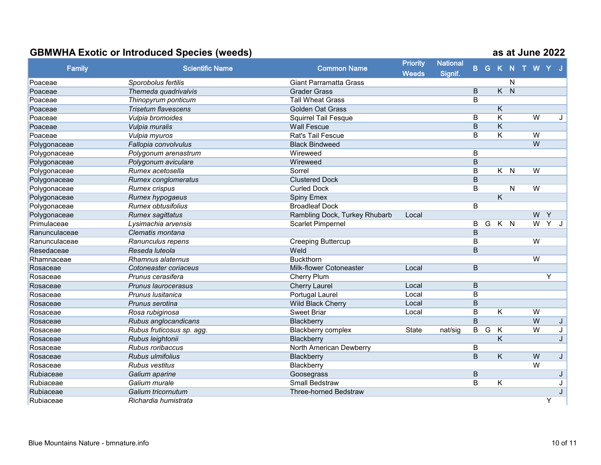|               |                            |                               | <b>Priority</b> | <b>National</b> |                |   |                         |                |                        |                |                     |   |
|---------------|----------------------------|-------------------------------|-----------------|-----------------|----------------|---|-------------------------|----------------|------------------------|----------------|---------------------|---|
| Family        | <b>Scientific Name</b>     | <b>Common Name</b>            | <b>Weeds</b>    | Signif.         |                |   |                         |                | <b>B G K N T W Y J</b> |                |                     |   |
| Poaceae       | Sporobolus fertilis        | <b>Giant Parramatta Grass</b> |                 |                 |                |   |                         | N              |                        |                |                     |   |
| Poaceae       | Themeda quadrivalvis       | <b>Grader Grass</b>           |                 |                 | $\mathsf B$    |   | K                       | $\overline{N}$ |                        |                |                     |   |
| Poaceae       | Thinopyrum ponticum        | <b>Tall Wheat Grass</b>       |                 |                 | B              |   |                         |                |                        |                |                     |   |
| Poaceae       | <b>Trisetum flavescens</b> | <b>Golden Oat Grass</b>       |                 |                 |                |   | $\overline{\mathsf{K}}$ |                |                        |                |                     |   |
| Poaceae       | Vulpia bromoides           | Squirrel Tail Fesque          |                 |                 | B              |   | $\overline{\mathsf{K}}$ |                |                        | $\overline{W}$ |                     | J |
| Poaceae       | Vulpia muralis             | <b>Wall Fescue</b>            |                 |                 | B              |   | K                       |                |                        |                |                     |   |
| Poaceae       | Vulpia myuros              | Rat's Tail Fescue             |                 |                 | B              |   | $\overline{\mathsf{K}}$ |                |                        | $\overline{W}$ |                     |   |
| Polygonaceae  | Fallopia convolvulus       | <b>Black Bindweed</b>         |                 |                 |                |   |                         |                |                        | W              |                     |   |
| Polygonaceae  | Polygonum arenastrum       | Wireweed                      |                 |                 | $\mathsf B$    |   |                         |                |                        |                |                     |   |
| Polygonaceae  | Polygonum aviculare        | Wireweed                      |                 |                 | B              |   |                         |                |                        |                |                     |   |
| Polygonaceae  | Rumex acetosella           | Sorrel                        |                 |                 | B              |   | $\overline{K}$          | $\overline{N}$ |                        | $\overline{W}$ |                     |   |
| Polygonaceae  | Rumex conglomeratus        | <b>Clustered Dock</b>         |                 |                 | $\overline{B}$ |   |                         |                |                        |                |                     |   |
| Polygonaceae  | <b>Rumex crispus</b>       | <b>Curled Dock</b>            |                 |                 | B              |   |                         | N              |                        | W              |                     |   |
| Polygonaceae  | Rumex hypogaeus            | <b>Spiny Emex</b>             |                 |                 |                |   | $\overline{\mathsf{K}}$ |                |                        |                |                     |   |
| Polygonaceae  | <b>Rumex obtusifolius</b>  | <b>Broadleaf Dock</b>         |                 |                 | $\overline{B}$ |   |                         |                |                        |                |                     |   |
| Polygonaceae  | <b>Rumex sagittatus</b>    | Rambling Dock, Turkey Rhubarb | Local           |                 |                |   |                         |                |                        | $W$ $Y$        |                     |   |
| Primulaceae   | Lysimachia arvensis        | <b>Scarlet Pimpernel</b>      |                 |                 | B              | G | $K$ N                   |                |                        | $\overline{W}$ | $\overline{Y}$<br>J |   |
| Ranunculaceae | Clematis montana           |                               |                 |                 | B              |   |                         |                |                        |                |                     |   |
| Ranunculaceae | Ranunculus repens          | <b>Creeping Buttercup</b>     |                 |                 | B              |   |                         |                |                        | W              |                     |   |
| Resedaceae    | Reseda luteola             | Weld                          |                 |                 | $\overline{B}$ |   |                         |                |                        |                |                     |   |
| Rhamnaceae    | Rhamnus alaternus          | <b>Buckthorn</b>              |                 |                 |                |   |                         |                |                        | $\overline{W}$ |                     |   |
| Rosaceae      | Cotoneaster coriaceus      | Milk-flower Cotoneaster       | Local           |                 | B              |   |                         |                |                        |                |                     |   |
| Rosaceae      | Prunus cerasifera          | Cherry Plum                   |                 |                 |                |   |                         |                |                        |                | Y                   |   |
| Rosaceae      | Prunus laurocerasus        | <b>Cherry Laurel</b>          | Local           |                 | B              |   |                         |                |                        |                |                     |   |
| Rosaceae      | Prunus Iusitanica          | Portugal Laurel               | Local           |                 | B              |   |                         |                |                        |                |                     |   |
| Rosaceae      | Prunus serotina            | <b>Wild Black Cherry</b>      | Local           |                 | B              |   |                         |                |                        |                |                     |   |
| Rosaceae      | Rosa rubiginosa            | <b>Sweet Briar</b>            | Local           |                 | $\mathsf B$    |   | K                       |                |                        | $\overline{W}$ |                     |   |
| Rosaceae      | Rubus anglocandicans       | Blackberry                    |                 |                 | $\overline{B}$ |   |                         |                |                        | W              |                     | J |
| Rosaceae      | Rubus fruticosus sp. agg.  | <b>Blackberry complex</b>     | <b>State</b>    | nat/sig         | B              | G | Κ                       |                |                        | W              | J                   |   |
| Rosaceae      | Rubus leightonii           | Blackberry                    |                 |                 |                |   | Κ                       |                |                        |                |                     | J |
| Rosaceae      | Rubus roribaccus           | North American Dewberry       |                 |                 | B              |   |                         |                |                        |                |                     |   |
| Rosaceae      | Rubus ulmifolius           | Blackberry                    |                 |                 | $\overline{B}$ |   | $\overline{\mathsf{K}}$ |                |                        | W              |                     | J |
| Rosaceae      | Rubus vestitus             | Blackberry                    |                 |                 |                |   |                         |                |                        | W              |                     |   |
| Rubiaceae     | Galium aparine             | Goosegrass                    |                 |                 | B              |   |                         |                |                        |                |                     | J |
| Rubiaceae     | Galium murale              | <b>Small Bedstraw</b>         |                 |                 | $\overline{B}$ |   | $\overline{\mathsf{K}}$ |                |                        |                | J                   |   |
| Rubiaceae     | Galium tricornutum         | <b>Three-horned Bedstraw</b>  |                 |                 |                |   |                         |                |                        |                |                     | J |
| Rubiaceae     | Richardia humistrata       |                               |                 |                 |                |   |                         |                |                        |                | Υ                   |   |